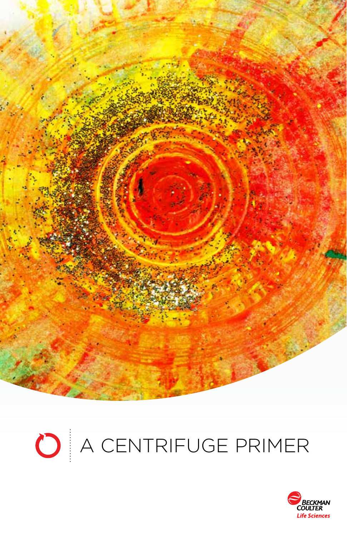



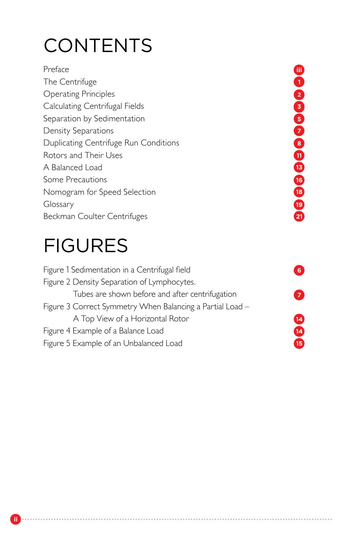# **CONTENTS**

Preface The Centrifuge Operating Principles Calculating Centrifugal Fields Separation by Sedimentation Density Separations Duplicating Centrifuge Run Conditions Rotors and Their Uses A Balanced Load Some Precautions Nomogram for Speed Selection Glossary Beckman Coulter Centrifuges

# FIGURES

Figure 1 Sedimentation in a Centrifugal field Figure 2 Density Separation of Lymphocytes. Tubes are shown before and after centrifugation Figure 3 Correct Symmetry When Balancing a Partial Load – A Top View of a Horizontal Rotor Figure 4 Example of a Balance Load Figure 5 Example of an Unbalanced Load

. . . . . . . . . . . . . . . .

**6**

**7**

**14 14 15**

**ii**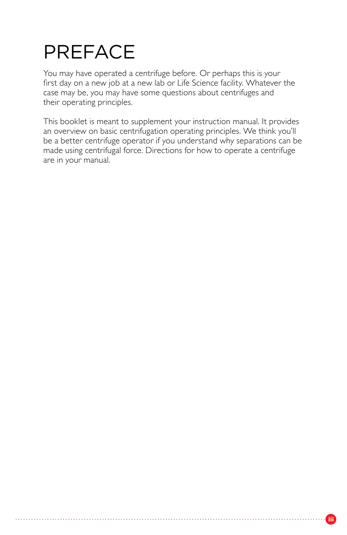## PREFACE

You may have operated a centrifuge before. Or perhaps this is your first day on a new job at a new lab or Life Science facility. Whatever the case may be, you may have some questions about centrifuges and their operating principles.

This booklet is meant to supplement your instruction manual. It provides an overview on basic centrifugation operating principles. We think you'll be a better centrifuge operator if you understand why separations can be made using centrifugal force. Directions for how to operate a centrifuge are in your manual.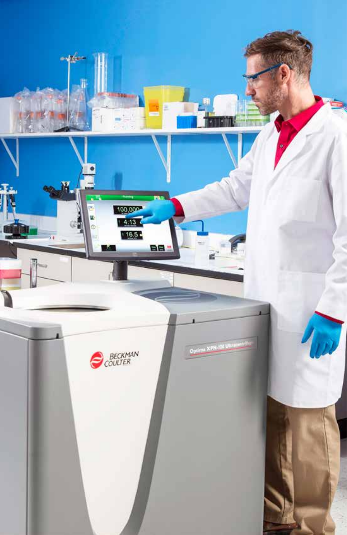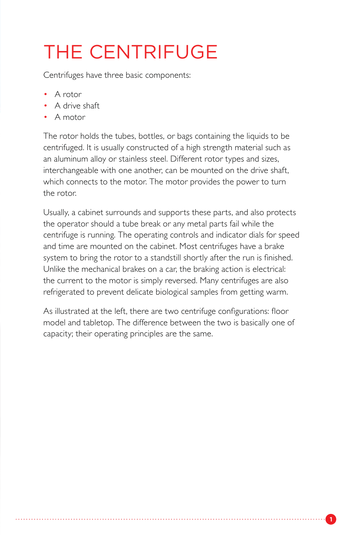## THE CENTRIFUGE

Centrifuges have three basic components:

- A rotor
- A drive shaft
- A motor

The rotor holds the tubes, bottles, or bags containing the liquids to be centrifuged. It is usually constructed of a high strength material such as an aluminum alloy or stainless steel. Different rotor types and sizes, interchangeable with one another, can be mounted on the drive shaft, which connects to the motor. The motor provides the power to turn the rotor.

Usually, a cabinet surrounds and supports these parts, and also protects the operator should a tube break or any metal parts fail while the centrifuge is running. The operating controls and indicator dials for speed and time are mounted on the cabinet. Most centrifuges have a brake system to bring the rotor to a standstill shortly after the run is finished. Unlike the mechanical brakes on a car, the braking action is electrical: the current to the motor is simply reversed. Many centrifuges are also refrigerated to prevent delicate biological samples from getting warm.

As illustrated at the left, there are two centrifuge configurations: floor model and tabletop. The difference between the two is basically one of capacity; their operating principles are the same.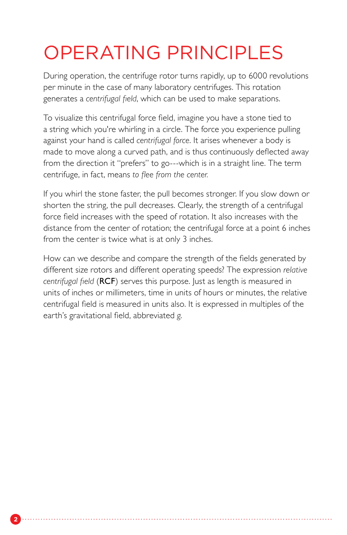# OPERATING PRINCIPLES

During operation, the centrifuge rotor turns rapidly, up to 6000 revolutions per minute in the case of many laboratory centrifuges. This rotation generates a *centrifugal field*, which can be used to make separations.

To visualize this centrifugal force field, imagine you have a stone tied to a string which you're whirling in a circle. The force you experience pulling against your hand is called *centrifugal force*. It arises whenever a body is made to move along a curved path, and is thus continuously deflected away from the direction it "prefers" to go---which is in a straight line. The term centrifuge, in fact, means *to flee from the center.*

If you whirl the stone faster, the pull becomes stronger. If you slow down or shorten the string, the pull decreases. Clearly, the strength of a centrifugal force field increases with the speed of rotation. It also increases with the distance from the center of rotation; the centrifugal force at a point 6 inches from the center is twice what is at only 3 inches.

How can we describe and compare the strength of the fields generated by different size rotors and different operating speeds? The expression *relative centrifugal field* (RCF) serves this purpose. Just as length is measured in units of inches or millimeters, time in units of hours or minutes, the relative centrifugal field is measured in units also. It is expressed in multiples of the earth's gravitational field, abbreviated *g*.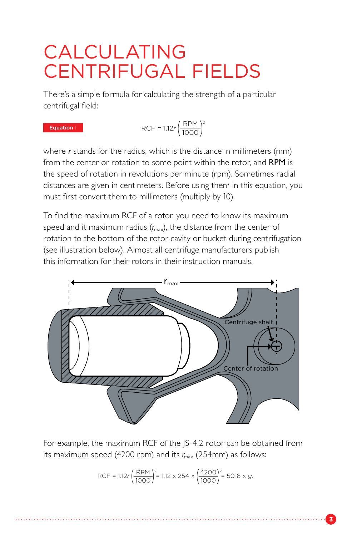## CALCULATING CENTRIFUGAL FIELDS

There's a simple formula for calculating the strength of a particular centrifugal field:

RCF = 1.12*r*  $\left(\frac{RPM}{1000}\right)$ Equation 1 RCF =  $1.12r \left( \frac{RPM}{1000} \right)^2$ 

where *r* stands for the radius, which is the distance in millimeters (mm) from the center or rotation to some point within the rotor, and RPM is the speed of rotation in revolutions per minute (rpm). Sometimes radial distances are given in centimeters. Before using them in this equation, you must first convert them to millimeters (multiply by 10).

To find the maximum RCF of a rotor, you need to know its maximum speed and it maximum radius  $(r_{\text{max}})$ , the distance from the center of rotation to the bottom of the rotor cavity or bucket during centrifugation (see illustration below). Almost all centrifuge manufacturers publish this information for their rotors in their instruction manuals.



For example, the maximum RCF of the JS-4.2 rotor can be obtained from its maximum speed (4200 rpm) and its  $r_{\text{max}}$  (254mm) as follows:

$$
RCF = 1.12r \left(\frac{RPM}{1000}\right)^2 = 1.12 \times 254 \times \left(\frac{4200}{1000}\right)^2 = 5018 \times g.
$$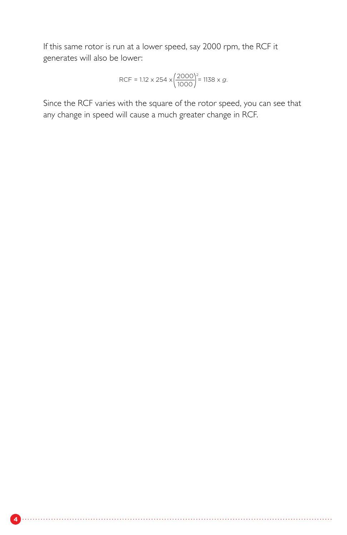If this same rotor is run at a lower speed, say 2000 rpm, the RCF it generates will also be lower:

$$
RCF = 1.12 \times 254 \times \left(\frac{2000}{1000}\right)^2 = 1138 \times g.
$$

Since the RCF varies with the square of the rotor speed, you can see that any change in speed will cause a much greater change in RCF.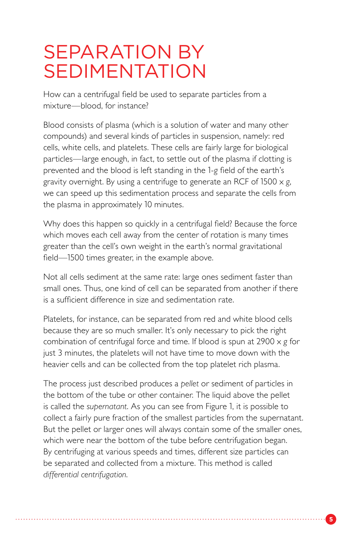## SEPARATION BY **SEDIMENTATION**

How can a centrifugal field be used to separate particles from a mixture—blood, for instance?

Blood consists of plasma (which is a solution of water and many other compounds) and several kinds of particles in suspension, namely: red cells, white cells, and platelets. These cells are fairly large for biological particles—large enough, in fact, to settle out of the plasma if clotting is prevented and the blood is left standing in the 1-*g* field of the earth's gravity overnight. By using a centrifuge to generate an RCF of 1500 x *g*, we can speed up this sedimentation process and separate the cells from the plasma in approximately 10 minutes.

Why does this happen so quickly in a centrifugal field? Because the force which moves each cell away from the center of rotation is many times greater than the cell's own weight in the earth's normal gravitational field—1500 times greater, in the example above.

Not all cells sediment at the same rate: large ones sediment faster than small ones. Thus, one kind of cell can be separated from another if there is a sufficient difference in size and sedimentation rate.

Platelets, for instance, can be separated from red and white blood cells because they are so much smaller. It's only necessary to pick the right combination of centrifugal force and time. If blood is spun at 2900 x *g* for just 3 minutes, the platelets will not have time to move down with the heavier cells and can be collected from the top platelet rich plasma.

The process just described produces a *pellet* or sediment of particles in the bottom of the tube or other container. The liquid above the pellet is called the *supernatant*. As you can see from Figure 1, it is possible to collect a fairly pure fraction of the smallest particles from the supernatant. But the pellet or larger ones will always contain some of the smaller ones, which were near the bottom of the tube before centrifugation began. By centrifuging at various speeds and times, different size particles can be separated and collected from a mixture. This method is called *differential centrifugation*.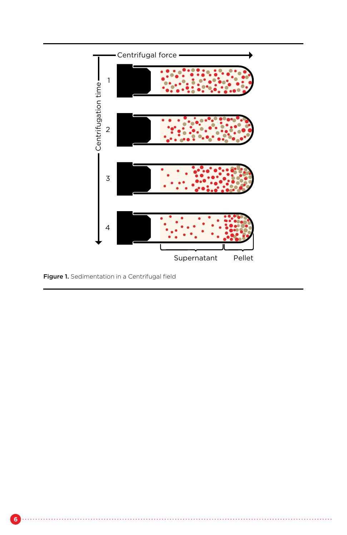

Figure 1. Sedimentation in a Centrifugal field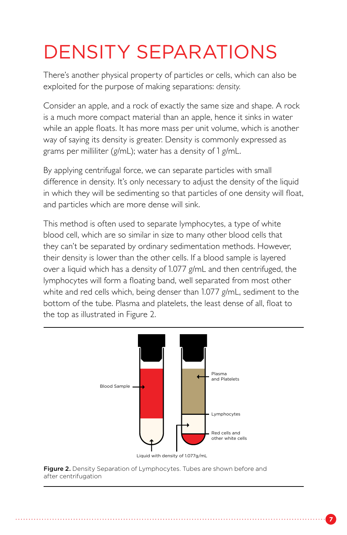# DENSITY SEPARATIONS

There's another physical property of particles or cells, which can also be exploited for the purpose of making separations: *density.*

Consider an apple, and a rock of exactly the same size and shape. A rock is a much more compact material than an apple, hence it sinks in water while an apple floats. It has more mass per unit volume, which is another way of saying its density is greater. Density is commonly expressed as grams per milliliter (*g*/mL); water has a density of 1 *g*/mL.

By applying centrifugal force, we can separate particles with small difference in density. It's only necessary to adjust the density of the liquid in which they will be sedimenting so that particles of one density will float, and particles which are more dense will sink.

This method is often used to separate lymphocytes, a type of white blood cell, which are so similar in size to many other blood cells that they can't be separated by ordinary sedimentation methods. However, their density is lower than the other cells. If a blood sample is layered over a liquid which has a density of 1.077 *g*/mL and then centrifuged, the lymphocytes will form a floating band, well separated from most other white and red cells which, being denser than 1.077 *g*/mL, sediment to the bottom of the tube. Plasma and platelets, the least dense of all, float to the top as illustrated in Figure 2.



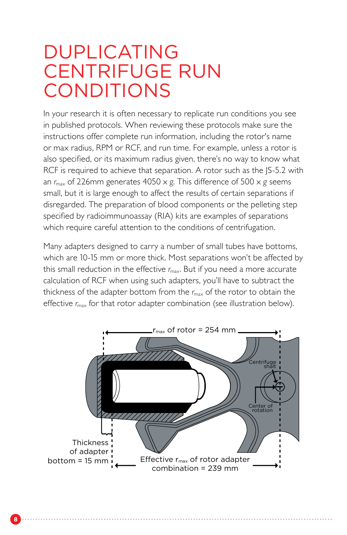### DUPLICATING CENTRIFUGE RUN **CONDITIONS**

In your research it is often necessary to replicate run conditions you see in published protocols. When reviewing these protocols make sure the instructions offer complete run information, including the rotor's name or max radius, RPM or RCF, and run time. For example, unless a rotor is also specified, or its maximum radius given, there's no way to know what RCF is required to achieve that separation. A rotor such as the IS-5.2 with an *r*max of 226mm generates 4050 x *g*. This difference of 500 x *g* seems small, but it is large enough to affect the results of certain separations if disregarded. The preparation of blood components or the pelleting step specified by radioimmunoassay (RIA) kits are examples of separations which require careful attention to the conditions of centrifugation.

Many adapters designed to carry a number of small tubes have bottoms, which are 10-15 mm or more thick. Most separations won't be affected by this small reduction in the effective  $r_{\text{max}}$ . But if you need a more accurate calculation of RCF when using such adapters, you'll have to subtract the thickness of the adapter bottom from the  $r_{\text{max}}$  of the rotor to obtain the effective  $r_{\text{max}}$  for that rotor adapter combination (see illustration below).

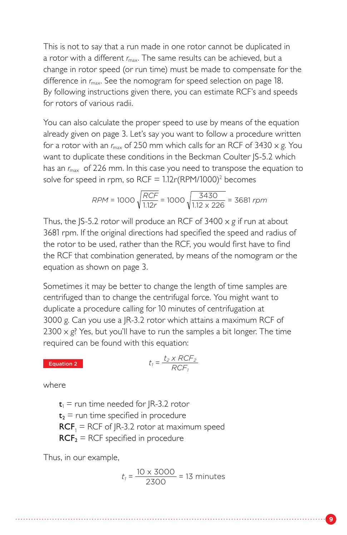This is not to say that a run made in one rotor cannot be duplicated in a rotor with a different  $r_{\text{max}}$ . The same results can be achieved, but a change in rotor speed (or run time) must be made to compensate for the difference in  $r_{\text{max}}$ . See the nomogram for speed selection on page 18. By following instructions given there, you can estimate RCF's and speeds for rotors of various radii.

You can also calculate the proper speed to use by means of the equation already given on page 3. Let's say you want to follow a procedure written for a rotor with an  $r_{\text{max}}$  of 250 mm which calls for an RCF of 3430  $\times$  g. You want to duplicate these conditions in the Beckman Coulter JS-5.2 which has an  $r_{\text{max}}$  of 226 mm. In this case you need to transpose the equation to solve for speed in rpm, so RCF =  $1.12r(RPM/1000)^2$  becomes

$$
RPM = 1000 \sqrt{\frac{RCF}{1.12r}} = 1000 \sqrt{\frac{3430}{1.12 \times 226}} = 3681 \, rpm
$$

Thus, the JS-5.2 rotor will produce an RCF of 3400 x *g* if run at about 3681 rpm. If the original directions had specified the speed and radius of the rotor to be used, rather than the RCF, you would first have to find the RCF that combination generated, by means of the nomogram or the equation as shown on page 3.

Sometimes it may be better to change the length of time samples are centrifuged than to change the centrifugal force. You might want to duplicate a procedure calling for 10 minutes of centrifugation at 3000 *g*. Can you use a JR-3.2 rotor which attains a maximum RCF of 2300 x *g*? Yes, but you'll have to run the samples a bit longer. The time required can be found with this equation:

Equation 2

$$
t_1 = \frac{t_2 \times RCF_2}{RCF_1}
$$

where

 $t_1$  = run time needed for JR-3.2 rotor  $t<sub>2</sub>$  = run time specified in procedure  $RCF_1$  = RCF of JR-3.2 rotor at maximum speed  $RCF_2$  = RCF specified in procedure

Thus, in our example,

$$
t_1 = \frac{10 \times 3000}{2300} = 13 \text{ minutes}
$$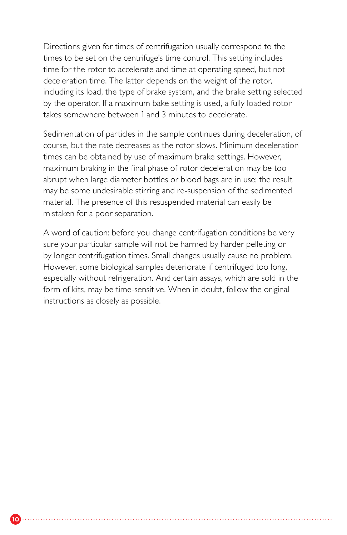Directions given for times of centrifugation usually correspond to the times to be set on the centrifuge's time control. This setting includes time for the rotor to accelerate and time at operating speed, but not deceleration time. The latter depends on the weight of the rotor, including its load, the type of brake system, and the brake setting selected by the operator. If a maximum bake setting is used, a fully loaded rotor takes somewhere between 1 and 3 minutes to decelerate.

Sedimentation of particles in the sample continues during deceleration, of course, but the rate decreases as the rotor slows. Minimum deceleration times can be obtained by use of maximum brake settings. However, maximum braking in the final phase of rotor deceleration may be too abrupt when large diameter bottles or blood bags are in use; the result may be some undesirable stirring and re-suspension of the sedimented material. The presence of this resuspended material can easily be mistaken for a poor separation.

A word of caution: before you change centrifugation conditions be very sure your particular sample will not be harmed by harder pelleting or by longer centrifugation times. Small changes usually cause no problem. However, some biological samples deteriorate if centrifuged too long, especially without refrigeration. And certain assays, which are sold in the form of kits, may be time-sensitive. When in doubt, follow the original instructions as closely as possible.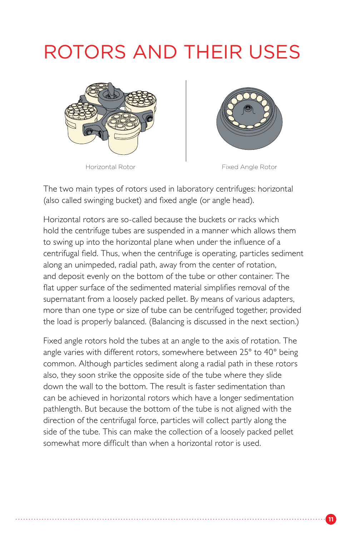## ROTORS AND THEIR USES





Horizontal Rotor **Fixed Angle Rotor** Fixed Angle Rotor

The two main types of rotors used in laboratory centrifuges: horizontal (also called swinging bucket) and fixed angle (or angle head).

Horizontal rotors are so-called because the buckets or racks which hold the centrifuge tubes are suspended in a manner which allows them to swing up into the horizontal plane when under the influence of a centrifugal field. Thus, when the centrifuge is operating, particles sediment along an unimpeded, radial path, away from the center of rotation, and deposit evenly on the bottom of the tube or other container. The flat upper surface of the sedimented material simplifies removal of the supernatant from a loosely packed pellet. By means of various adapters, more than one type or size of tube can be centrifuged together, provided the load is properly balanced. (Balancing is discussed in the next section.)

Fixed angle rotors hold the tubes at an angle to the axis of rotation. The angle varies with different rotors, somewhere between 25° to 40° being common. Although particles sediment along a radial path in these rotors also, they soon strike the opposite side of the tube where they slide down the wall to the bottom. The result is faster sedimentation than can be achieved in horizontal rotors which have a longer sedimentation pathlength. But because the bottom of the tube is not aligned with the direction of the centrifugal force, particles will collect partly along the side of the tube. This can make the collection of a loosely packed pellet somewhat more difficult than when a horizontal rotor is used.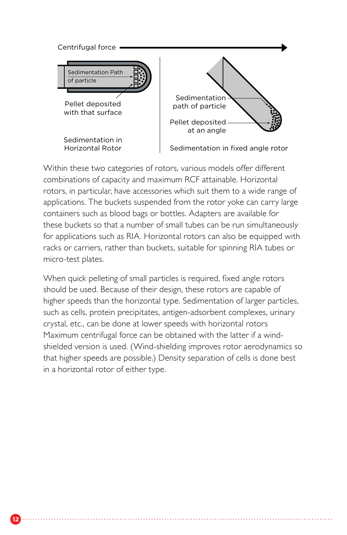

Within these two categories of rotors, various models offer different combinations of capacity and maximum RCF attainable. Horizontal rotors, in particular, have accessories which suit them to a wide range of applications. The buckets suspended from the rotor yoke can carry large containers such as blood bags or bottles. Adapters are available for these buckets so that a number of small tubes can be run simultaneously for applications such as RIA. Horizontal rotors can also be equipped with racks or carriers, rather than buckets, suitable for spinning RIA tubes or micro-test plates.

When quick pelleting of small particles is required, fixed angle rotors should be used. Because of their design, these rotors are capable of higher speeds than the horizontal type. Sedimentation of larger particles, such as cells, protein precipitates, antigen-adsorbent complexes, urinary crystal, etc., can be done at lower speeds with horizontal rotors Maximum centrifugal force can be obtained with the latter if a windshielded version is used. (Wind-shielding improves rotor aerodynamics so that higher speeds are possible.) Density separation of cells is done best in a horizontal rotor of either type.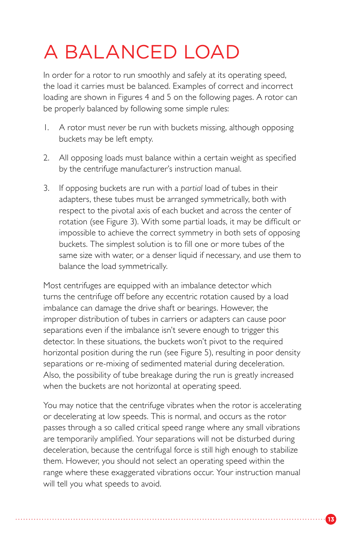# A BALANCED LOAD

In order for a rotor to run smoothly and safely at its operating speed, the load it carries must be balanced. Examples of correct and incorrect loading are shown in Figures 4 and 5 on the following pages. A rotor can be properly balanced by following some simple rules:

- 1. A rotor must *never* be run with buckets missing, although opposing buckets may be left empty.
- 2. All opposing loads must balance within a certain weight as specified by the centrifuge manufacturer's instruction manual.
- 3. If opposing buckets are run with a *partial* load of tubes in their adapters, these tubes must be arranged symmetrically, both with respect to the pivotal axis of each bucket and across the center of rotation (see Figure 3). With some partial loads, it may be difficult or impossible to achieve the correct symmetry in both sets of opposing buckets. The simplest solution is to fill one or more tubes of the same size with water, or a denser liquid if necessary, and use them to balance the load symmetrically.

Most centrifuges are equipped with an imbalance detector which turns the centrifuge off before any eccentric rotation caused by a load imbalance can damage the drive shaft or bearings. However, the improper distribution of tubes in carriers or adapters can cause poor separations even if the imbalance isn't severe enough to trigger this detector. In these situations, the buckets won't pivot to the required horizontal position during the run (see Figure 5), resulting in poor density separations or re-mixing of sedimented material during deceleration. Also, the possibility of tube breakage during the run is greatly increased when the buckets are not horizontal at operating speed.

You may notice that the centrifuge vibrates when the rotor is accelerating or decelerating at low speeds. This is normal, and occurs as the rotor passes through a so called critical speed range where any small vibrations are temporarily amplified. Your separations will not be disturbed during deceleration, because the centrifugal force is still high enough to stabilize them. However, you should not select an operating speed within the range where these exaggerated vibrations occur. Your instruction manual will tell you what speeds to avoid.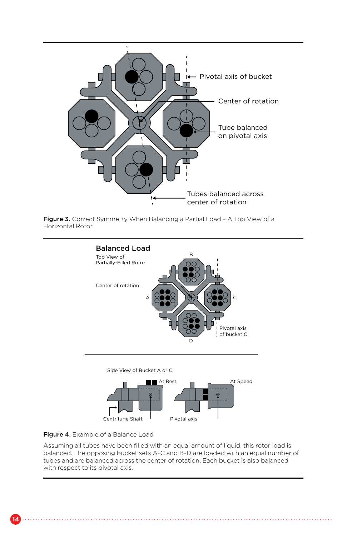

Figure 3. Correct Symmetry When Balancing a Partial Load - A Top View of a Horizontal Rotor



Figure 4. Example of a Balance Load

Assuming all tubes have been filled with an equal amount of liquid, this rotor load is balanced. The opposing bucket sets A-C and B-D are loaded with an equal number of tubes and are balanced across the center of rotation. Each bucket is also balanced with respect to its pivotal axis.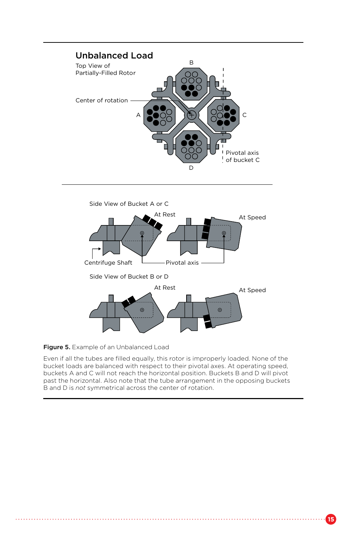





Even if all the tubes are filled equally, this rotor is improperly loaded. None of the bucket loads are balanced with respect to their pivotal axes. At operating speed, buckets A and C will not reach the horizontal position. Buckets B and D will pivot past the horizontal. Also note that the tube arrangement in the opposing buckets B and D is *not* symmetrical across the center of rotation.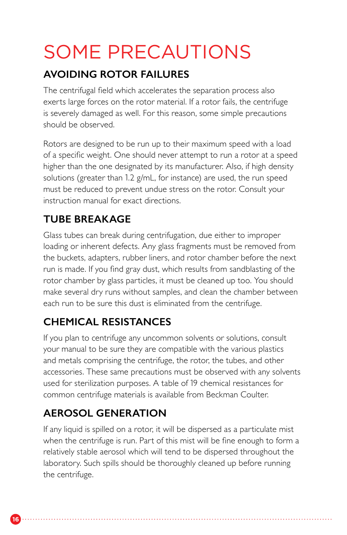# SOME PRECAUTIONS

#### **AVOIDING ROTOR FAILURES**

The centrifugal field which accelerates the separation process also exerts large forces on the rotor material. If a rotor fails, the centrifuge is severely damaged as well. For this reason, some simple precautions should be observed.

Rotors are designed to be run up to their maximum speed with a load of a specific weight. One should never attempt to run a rotor at a speed higher than the one designated by its manufacturer. Also, if high density solutions (greater than 1.2 g/mL, for instance) are used, the run speed must be reduced to prevent undue stress on the rotor. Consult your instruction manual for exact directions.

#### **TUBE BREAKAGE**

Glass tubes can break during centrifugation, due either to improper loading or inherent defects. Any glass fragments must be removed from the buckets, adapters, rubber liners, and rotor chamber before the next run is made. If you find gray dust, which results from sandblasting of the rotor chamber by glass particles, it must be cleaned up too. You should make several dry runs without samples, and clean the chamber between each run to be sure this dust is eliminated from the centrifuge.

#### **CHEMICAL RESISTANCES**

If you plan to centrifuge any uncommon solvents or solutions, consult your manual to be sure they are compatible with the various plastics and metals comprising the centrifuge, the rotor, the tubes, and other accessories. These same precautions must be observed with any solvents used for sterilization purposes. A table of 19 chemical resistances for common centrifuge materials is available from Beckman Coulter.

#### **AEROSOL GENERATION**

If any liquid is spilled on a rotor, it will be dispersed as a particulate mist when the centrifuge is run. Part of this mist will be fine enough to form a relatively stable aerosol which will tend to be dispersed throughout the laboratory. Such spills should be thoroughly cleaned up before running the centrifuge.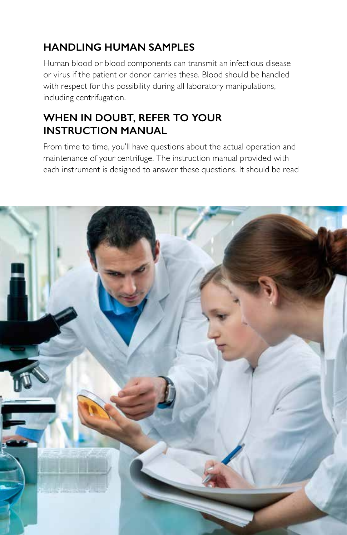#### **HANDLING HUMAN SAMPLES**

Human blood or blood components can transmit an infectious disease or virus if the patient or donor carries these. Blood should be handled with respect for this possibility during all laboratory manipulations, including centrifugation.

#### **WHEN IN DOUBT, REFER TO YOUR INSTRUCTION MANUAL**

From time to time, you'll have questions about the actual operation and maintenance of your centrifuge. The instruction manual provided with each instrument is designed to answer these questions. It should be read

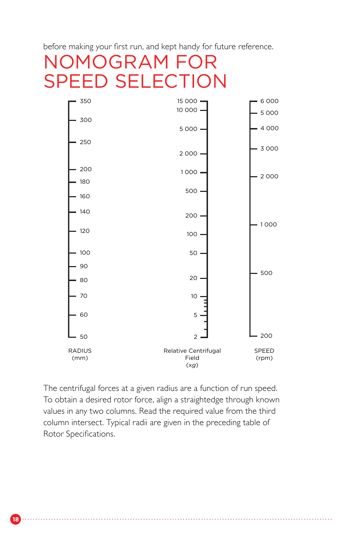before making your first run, and kept handy for future reference.

### NOMOGRAM FC SPEED SELECTION



The centrifugal forces at a given radius are a function of run speed. To obtain a desired rotor force, align a straightedge through known values in any two columns. Read the required value from the third column intersect. Typical radii are given in the preceding table of Rotor Specifications.

. . . . . . . . . . . . . .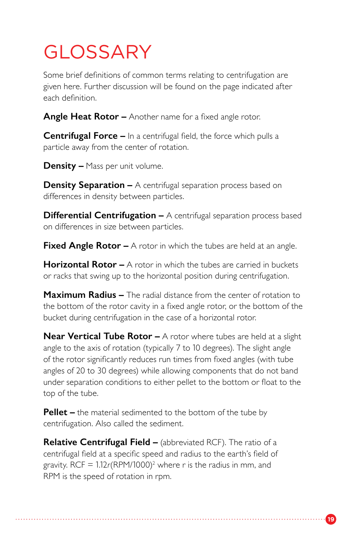# GLOSSARY

Some brief definitions of common terms relating to centrifugation are given here. Further discussion will be found on the page indicated after each definition.

**Angle Heat Rotor –** Another name for a fixed angle rotor.

**Centrifugal Force –** In a centrifugal field, the force which pulls a particle away from the center of rotation.

**Density –** Mass per unit volume.

**Density Separation –** A centrifugal separation process based on differences in density between particles.

**Differential Centrifugation –** A centrifugal separation process based on differences in size between particles.

**Fixed Angle Rotor –** A rotor in which the tubes are held at an angle.

**Horizontal Rotor –** A rotor in which the tubes are carried in buckets or racks that swing up to the horizontal position during centrifugation.

**Maximum Radius –** The radial distance from the center of rotation to the bottom of the rotor cavity in a fixed angle rotor, or the bottom of the bucket during centrifugation in the case of a horizontal rotor.

**Near Vertical Tube Rotor –** A rotor where tubes are held at a slight angle to the axis of rotation (typically 7 to 10 degrees). The slight angle of the rotor significantly reduces run times from fixed angles (with tube angles of 20 to 30 degrees) while allowing components that do not band under separation conditions to either pellet to the bottom or float to the top of the tube.

**Pellet –** the material sedimented to the bottom of the tube by centrifugation. Also called the sediment.

**Relative Centrifugal Field –** (abbreviated RCF). The ratio of a centrifugal field at a specific speed and radius to the earth's field of gravity.  $RCF = 1.12r(RPM/1000)^2$  where r is the radius in mm, and RPM is the speed of rotation in rpm.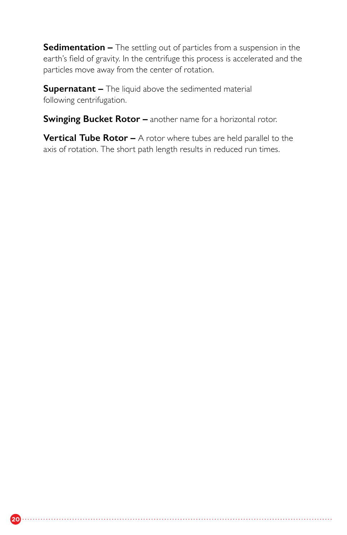**Sedimentation –** The settling out of particles from a suspension in the earth's field of gravity. In the centrifuge this process is accelerated and the particles move away from the center of rotation.

**Supernatant –** The liquid above the sedimented material following centrifugation.

**20**

**Swinging Bucket Rotor –** another name for a horizontal rotor.

**Vertical Tube Rotor –** A rotor where tubes are held parallel to the axis of rotation. The short path length results in reduced run times.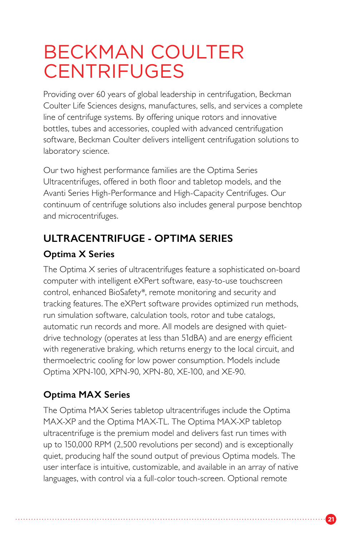## BECKMAN COULTER **CENTRIFUGES**

Providing over 60 years of global leadership in centrifugation, Beckman Coulter Life Sciences designs, manufactures, sells, and services a complete line of centrifuge systems. By offering unique rotors and innovative bottles, tubes and accessories, coupled with advanced centrifugation software, Beckman Coulter delivers intelligent centrifugation solutions to laboratory science.

Our two highest performance families are the Optima Series Ultracentrifuges, offered in both floor and tabletop models, and the Avanti Series High-Performance and High-Capacity Centrifuges. Our continuum of centrifuge solutions also includes general purpose benchtop and microcentrifuges.

#### **ULTRACENTRIFUGE - OPTIMA SERIES**

#### **Optima X Series**

The Optima X series of ultracentrifuges feature a sophisticated on-board computer with intelligent eXPert software, easy-to-use touchscreen control, enhanced BioSafety\*, remote monitoring and security and tracking features. The eXPert software provides optimized run methods, run simulation software, calculation tools, rotor and tube catalogs, automatic run records and more. All models are designed with quietdrive technology (operates at less than 51dBA) and are energy efficient with regenerative braking, which returns energy to the local circuit, and thermoelectric cooling for low power consumption. Models include Optima XPN-100, XPN-90, XPN-80, XE-100, and XE-90.

#### **Optima MAX Series**

The Optima MAX Series tabletop ultracentrifuges include the Optima MAX-XP and the Optima MAX-TL. The Optima MAX-XP tabletop ultracentrifuge is the premium model and delivers fast run times with up to 150,000 RPM (2,500 revolutions per second) and is exceptionally quiet, producing half the sound output of previous Optima models. The user interface is intuitive, customizable, and available in an array of native languages, with control via a full-color touch-screen. Optional remote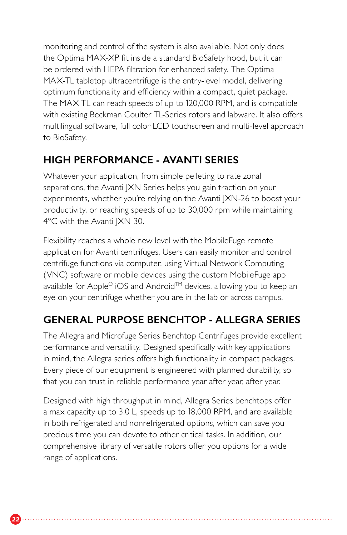monitoring and control of the system is also available. Not only does the Optima MAX-XP fit inside a standard BioSafety hood, but it can be ordered with HEPA filtration for enhanced safety. The Optima MAX-TL tabletop ultracentrifuge is the entry-level model, delivering optimum functionality and efficiency within a compact, quiet package. The MAX-TL can reach speeds of up to 120,000 RPM, and is compatible with existing Beckman Coulter TL-Series rotors and labware. It also offers multilingual software, full color LCD touchscreen and multi-level approach to BioSafety.

#### **HIGH PERFORMANCE - AVANTI SERIES**

Whatever your application, from simple pelleting to rate zonal separations, the Avanti JXN Series helps you gain traction on your experiments, whether you're relying on the Avanti JXN-26 to boost your productivity, or reaching speeds of up to 30,000 rpm while maintaining 4°C with the Avanti JXN-30.

Flexibility reaches a whole new level with the MobileFuge remote application for Avanti centrifuges. Users can easily monitor and control centrifuge functions via computer, using Virtual Network Computing (VNC) software or mobile devices using the custom MobileFuge app available for Apple® iOS and Android™ devices, allowing you to keep an eye on your centrifuge whether you are in the lab or across campus.

#### **GENERAL PURPOSE BENCHTOP - ALLEGRA SERIES**

The Allegra and Microfuge Series Benchtop Centrifuges provide excellent performance and versatility. Designed specifically with key applications in mind, the Allegra series offers high functionality in compact packages. Every piece of our equipment is engineered with planned durability, so that you can trust in reliable performance year after year, after year.

Designed with high throughput in mind, Allegra Series benchtops offer a max capacity up to 3.0 L, speeds up to 18,000 RPM, and are available in both refrigerated and nonrefrigerated options, which can save you precious time you can devote to other critical tasks. In addition, our comprehensive library of versatile rotors offer you options for a wide range of applications.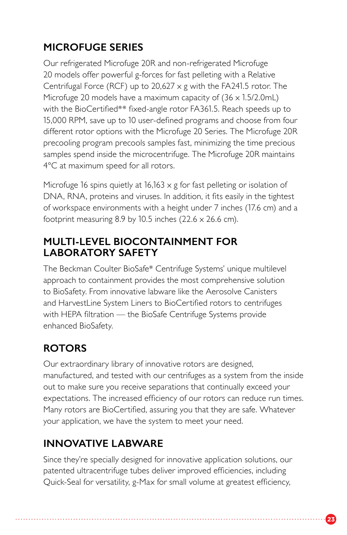#### **MICROFUGE SERIES**

Our refrigerated Microfuge 20R and non-refrigerated Microfuge 20 models offer powerful g-forces for fast pelleting with a Relative Centrifugal Force (RCF) up to 20,627  $\times$  g with the FA241.5 rotor. The Microfuge 20 models have a maximum capacity of (36 x 1.5/2.0mL) with the BioCertified\*\* fixed-angle rotor FA361.5. Reach speeds up to 15,000 RPM, save up to 10 user-defined programs and choose from four different rotor options with the Microfuge 20 Series. The Microfuge 20R precooling program precools samples fast, minimizing the time precious samples spend inside the microcentrifuge. The Microfuge 20R maintains 4°C at maximum speed for all rotors.

Microfuge 16 spins quietly at 16,163  $\times$  g for fast pelleting or isolation of DNA, RNA, proteins and viruses. In addition, it fits easily in the tightest of workspace environments with a height under 7 inches (17.6 cm) and a footprint measuring 8.9 by 10.5 inches  $(22.6 \times 26.6 \text{ cm})$ .

#### **MULTI-LEVEL BIOCONTAINMENT FOR LABORATORY SAFETY**

The Beckman Coulter BioSafe\* Centrifuge Systems' unique multilevel approach to containment provides the most comprehensive solution to BioSafety. From innovative labware like the Aerosolve Canisters and HarvestLine System Liners to BioCertified rotors to centrifuges with HEPA filtration — the BioSafe Centrifuge Systems provide enhanced BioSafety.

#### **ROTORS**

Our extraordinary library of innovative rotors are designed, manufactured, and tested with our centrifuges as a system from the inside out to make sure you receive separations that continually exceed your expectations. The increased efficiency of our rotors can reduce run times. Many rotors are BioCertified, assuring you that they are safe. Whatever your application, we have the system to meet your need.

#### **INNOVATIVE LABWARE**

Since they're specially designed for innovative application solutions, our patented ultracentrifuge tubes deliver improved efficiencies, including Quick-Seal for versatility, g-Max for small volume at greatest efficiency,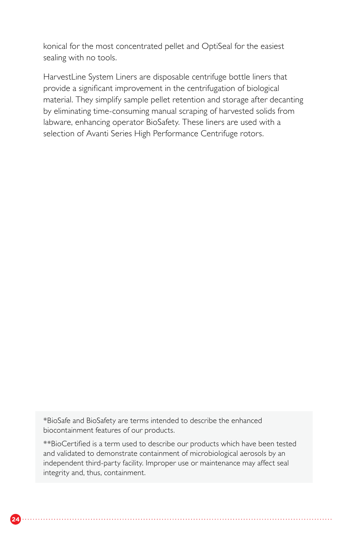konical for the most concentrated pellet and OptiSeal for the easiest sealing with no tools.

HarvestLine System Liners are disposable centrifuge bottle liners that provide a significant improvement in the centrifugation of biological material. They simplify sample pellet retention and storage after decanting by eliminating time-consuming manual scraping of harvested solids from labware, enhancing operator BioSafety. These liners are used with a selection of Avanti Series High Performance Centrifuge rotors.

\*BioSafe and BioSafety are terms intended to describe the enhanced biocontainment features of our products.

\*\*BioCertified is a term used to describe our products which have been tested and validated to demonstrate containment of microbiological aerosols by an independent third-party facility. Improper use or maintenance may affect seal integrity and, thus, containment.